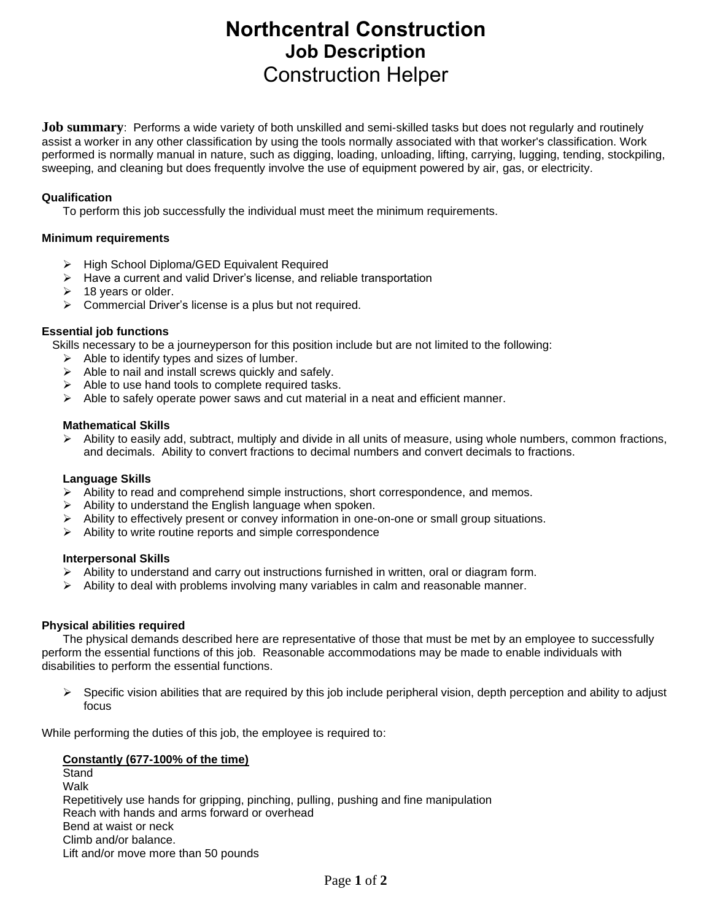# **Northcentral Construction Job Description** Construction Helper

**Job summary**: Performs a wide variety of both unskilled and semi-skilled tasks but does not regularly and routinely assist a worker in any other classification by using the tools normally associated with that worker's classification. Work performed is normally manual in nature, such as digging, loading, unloading, lifting, carrying, lugging, tending, stockpiling, sweeping, and cleaning but does frequently involve the use of equipment powered by air, gas, or electricity.

## **Qualification**

To perform this job successfully the individual must meet the minimum requirements.

## **Minimum requirements**

- ➢ High School Diploma/GED Equivalent Required
- ➢ Have a current and valid Driver's license, and reliable transportation
- $\geq$  18 years or older.
- ➢ Commercial Driver's license is a plus but not required.

## **Essential job functions**

Skills necessary to be a journeyperson for this position include but are not limited to the following:

- $\triangleright$  Able to identify types and sizes of lumber.
- $\triangleright$  Able to nail and install screws quickly and safely.
- ➢ Able to use hand tools to complete required tasks.
- $\triangleright$  Able to safely operate power saws and cut material in a neat and efficient manner.

### **Mathematical Skills**

➢ Ability to easily add, subtract, multiply and divide in all units of measure, using whole numbers, common fractions, and decimals. Ability to convert fractions to decimal numbers and convert decimals to fractions.

## **Language Skills**

- $\triangleright$  Ability to read and comprehend simple instructions, short correspondence, and memos.
- ➢ Ability to understand the English language when spoken.
- $\triangleright$  Ability to effectively present or convey information in one-on-one or small group situations.
- ➢ Ability to write routine reports and simple correspondence

#### **Interpersonal Skills**

- $\triangleright$  Ability to understand and carry out instructions furnished in written, oral or diagram form.
- $\triangleright$  Ability to deal with problems involving many variables in calm and reasonable manner.

## **Physical abilities required**

The physical demands described here are representative of those that must be met by an employee to successfully perform the essential functions of this job. Reasonable accommodations may be made to enable individuals with disabilities to perform the essential functions.

 $\triangleright$  Specific vision abilities that are required by this job include peripheral vision, depth perception and ability to adjust focus

While performing the duties of this job, the employee is required to:

#### **Constantly (677-100% of the time)** Stand

Walk Repetitively use hands for gripping, pinching, pulling, pushing and fine manipulation Reach with hands and arms forward or overhead Bend at waist or neck Climb and/or balance. Lift and/or move more than 50 pounds